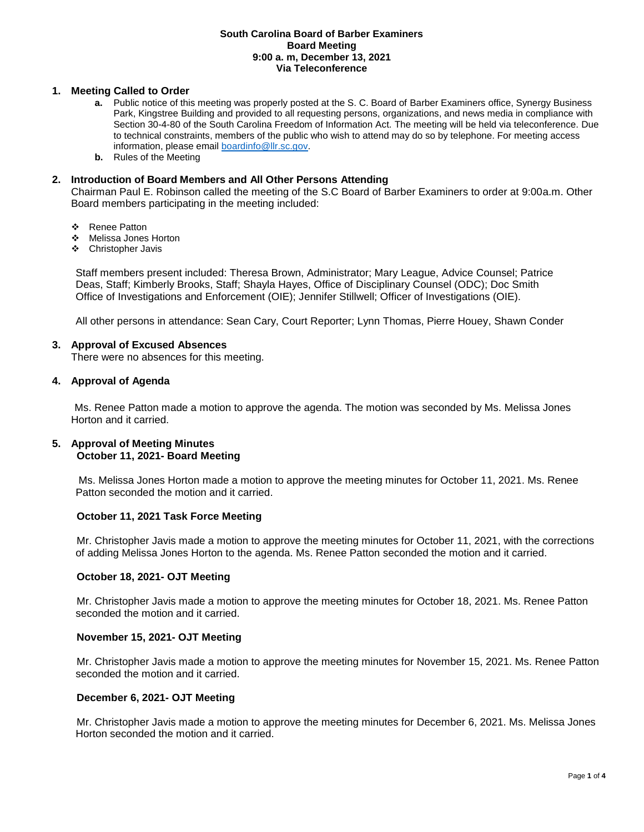#### **South Carolina Board of Barber Examiners Board Meeting 9:00 a. m, December 13, 2021 Via Teleconference**

### **1. Meeting Called to Order**

- **a.** Public notice of this meeting was properly posted at the S. C. Board of Barber Examiners office, Synergy Business Park, Kingstree Building and provided to all requesting persons, organizations, and news media in compliance with Section 30-4-80 of the South Carolina Freedom of Information Act. The meeting will be held via teleconference. Due to technical constraints, members of the public who wish to attend may do so by telephone. For meeting access information, please emai[l boardinfo@llr.sc.gov.](mailto:boardinfo@llr.sc.gov)
- **b.** Rules of the Meeting

### **2. Introduction of Board Members and All Other Persons Attending**

Chairman Paul E. Robinson called the meeting of the S.C Board of Barber Examiners to order at 9:00a.m. Other Board members participating in the meeting included:

- ❖ Renee Patton
- Melissa Jones Horton
- Christopher Javis

Staff members present included: Theresa Brown, Administrator; Mary League, Advice Counsel; Patrice Deas, Staff; Kimberly Brooks, Staff; Shayla Hayes, Office of Disciplinary Counsel (ODC); Doc Smith Office of Investigations and Enforcement (OIE); Jennifer Stillwell; Officer of Investigations (OIE).

All other persons in attendance: Sean Cary, Court Reporter; Lynn Thomas, Pierre Houey, Shawn Conder

#### **3. Approval of Excused Absences**

There were no absences for this meeting.

### **4. Approval of Agenda**

Ms. Renee Patton made a motion to approve the agenda. The motion was seconded by Ms. Melissa Jones Horton and it carried.

### **5. Approval of Meeting Minutes October 11, 2021- Board Meeting**

Ms. Melissa Jones Horton made a motion to approve the meeting minutes for October 11, 2021. Ms. Renee Patton seconded the motion and it carried.

#### **October 11, 2021 Task Force Meeting**

Mr. Christopher Javis made a motion to approve the meeting minutes for October 11, 2021, with the corrections of adding Melissa Jones Horton to the agenda. Ms. Renee Patton seconded the motion and it carried.

## **October 18, 2021- OJT Meeting**

Mr. Christopher Javis made a motion to approve the meeting minutes for October 18, 2021. Ms. Renee Patton seconded the motion and it carried.

#### **November 15, 2021- OJT Meeting**

Mr. Christopher Javis made a motion to approve the meeting minutes for November 15, 2021. Ms. Renee Patton seconded the motion and it carried.

#### **December 6, 2021- OJT Meeting**

Mr. Christopher Javis made a motion to approve the meeting minutes for December 6, 2021. Ms. Melissa Jones Horton seconded the motion and it carried.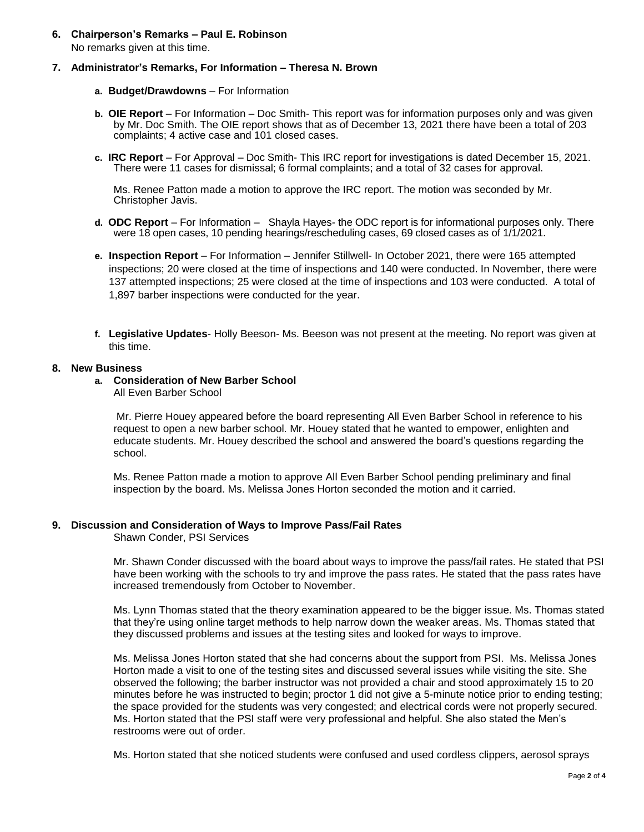**6. Chairperson's Remarks – Paul E. Robinson** No remarks given at this time.

### **7. Administrator's Remarks, For Information – Theresa N. Brown**

- **a. Budget/Drawdowns** For Information
- **b. OIE Report**  For Information Doc Smith- This report was for information purposes only and was given by Mr. Doc Smith. The OIE report shows that as of December 13, 2021 there have been a total of 203 complaints; 4 active case and 101 closed cases.
- **c. IRC Report**  For Approval Doc Smith- This IRC report for investigations is dated December 15, 2021. There were 11 cases for dismissal; 6 formal complaints; and a total of 32 cases for approval.

Ms. Renee Patton made a motion to approve the IRC report. The motion was seconded by Mr. Christopher Javis.

- **d. ODC Report**  For Information Shayla Hayes- the ODC report is for informational purposes only. There were 18 open cases, 10 pending hearings/rescheduling cases, 69 closed cases as of 1/1/2021.
- **e. Inspection Report** For Information Jennifer Stillwell- In October 2021, there were 165 attempted inspections; 20 were closed at the time of inspections and 140 were conducted. In November, there were 137 attempted inspections; 25 were closed at the time of inspections and 103 were conducted. A total of 1,897 barber inspections were conducted for the year.
- **f. Legislative Updates** Holly Beeson- Ms. Beeson was not present at the meeting. No report was given at this time.

#### **8. New Business**

# **a. Consideration of New Barber School**

All Even Barber School

Mr. Pierre Houey appeared before the board representing All Even Barber School in reference to his request to open a new barber school. Mr. Houey stated that he wanted to empower, enlighten and educate students. Mr. Houey described the school and answered the board's questions regarding the school.

Ms. Renee Patton made a motion to approve All Even Barber School pending preliminary and final inspection by the board. Ms. Melissa Jones Horton seconded the motion and it carried.

## **9. Discussion and Consideration of Ways to Improve Pass/Fail Rates**

Shawn Conder, PSI Services

Mr. Shawn Conder discussed with the board about ways to improve the pass/fail rates. He stated that PSI have been working with the schools to try and improve the pass rates. He stated that the pass rates have increased tremendously from October to November.

Ms. Lynn Thomas stated that the theory examination appeared to be the bigger issue. Ms. Thomas stated that they're using online target methods to help narrow down the weaker areas. Ms. Thomas stated that they discussed problems and issues at the testing sites and looked for ways to improve.

Ms. Melissa Jones Horton stated that she had concerns about the support from PSI. Ms. Melissa Jones Horton made a visit to one of the testing sites and discussed several issues while visiting the site. She observed the following; the barber instructor was not provided a chair and stood approximately 15 to 20 minutes before he was instructed to begin; proctor 1 did not give a 5-minute notice prior to ending testing; the space provided for the students was very congested; and electrical cords were not properly secured. Ms. Horton stated that the PSI staff were very professional and helpful. She also stated the Men's restrooms were out of order.

Ms. Horton stated that she noticed students were confused and used cordless clippers, aerosol sprays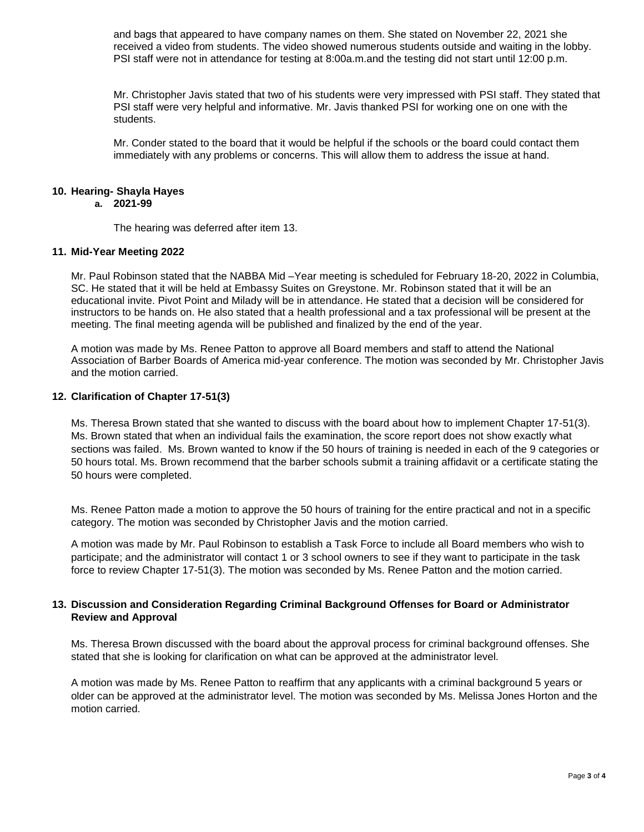and bags that appeared to have company names on them. She stated on November 22, 2021 she received a video from students. The video showed numerous students outside and waiting in the lobby. PSI staff were not in attendance for testing at 8:00a.m.and the testing did not start until 12:00 p.m.

Mr. Christopher Javis stated that two of his students were very impressed with PSI staff. They stated that PSI staff were very helpful and informative. Mr. Javis thanked PSI for working one on one with the students.

Mr. Conder stated to the board that it would be helpful if the schools or the board could contact them immediately with any problems or concerns. This will allow them to address the issue at hand.

#### **10. Hearing- Shayla Hayes a. 2021-99**

The hearing was deferred after item 13.

### **11. Mid-Year Meeting 2022**

Mr. Paul Robinson stated that the NABBA Mid –Year meeting is scheduled for February 18-20, 2022 in Columbia, SC. He stated that it will be held at Embassy Suites on Greystone. Mr. Robinson stated that it will be an educational invite. Pivot Point and Milady will be in attendance. He stated that a decision will be considered for instructors to be hands on. He also stated that a health professional and a tax professional will be present at the meeting. The final meeting agenda will be published and finalized by the end of the year.

A motion was made by Ms. Renee Patton to approve all Board members and staff to attend the National Association of Barber Boards of America mid-year conference. The motion was seconded by Mr. Christopher Javis and the motion carried.

### **12. Clarification of Chapter 17-51(3)**

Ms. Theresa Brown stated that she wanted to discuss with the board about how to implement Chapter 17-51(3). Ms. Brown stated that when an individual fails the examination, the score report does not show exactly what sections was failed. Ms. Brown wanted to know if the 50 hours of training is needed in each of the 9 categories or 50 hours total. Ms. Brown recommend that the barber schools submit a training affidavit or a certificate stating the 50 hours were completed.

Ms. Renee Patton made a motion to approve the 50 hours of training for the entire practical and not in a specific category. The motion was seconded by Christopher Javis and the motion carried.

A motion was made by Mr. Paul Robinson to establish a Task Force to include all Board members who wish to participate; and the administrator will contact 1 or 3 school owners to see if they want to participate in the task force to review Chapter 17-51(3). The motion was seconded by Ms. Renee Patton and the motion carried.

## **13. Discussion and Consideration Regarding Criminal Background Offenses for Board or Administrator Review and Approval**

Ms. Theresa Brown discussed with the board about the approval process for criminal background offenses. She stated that she is looking for clarification on what can be approved at the administrator level.

A motion was made by Ms. Renee Patton to reaffirm that any applicants with a criminal background 5 years or older can be approved at the administrator level. The motion was seconded by Ms. Melissa Jones Horton and the motion carried.